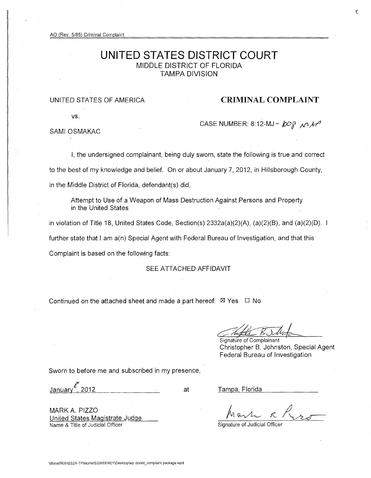AO (Rev. 5/85) Criminal Complaint

# **UNITED STATES DISTRICT COURT**  MIDDLE DISTRICT OF FLORIDA TAMPA DIVISION

# UNITED STATES OF AMERICA **CRIMINAL COMPLAINT**

vs.

CASE NUMBER: 8:12-MJ -  $\cancel{k}$ Og  $\land \cancel{1}$ 

SAMI OSMAKAC

I, the undersigned complainant, being duly sworn, state the following is true and correct to the best of my knowledge and belief. On or about January 7,2012, in Hillsborough County, in the Middle District of Florida, defendant(s) did,

Attempt to Use of a Weapon of Mass Destruction Against Persons and Property in the United States

in violation of Title 18, United States Code, Section(s) 2332a(a)(2)(A), (a)(2)(B), and (a)(2)(D). further state that I am a(n) Special Agent with Federal Bureau of Investigation, and that this Complaint is based on the following facts:

SEE ATTACHED AFFIDAVIT

Continued on the attached sheet and made a part hereof:  $\boxtimes$  Yes  $\Box$  No

Signature of Complainant Christopher B. Johnston, Special Agent Federal Bureau of Investigation

Sworn to before me and subscribed in my presence,

 $J$ anuary $\frac{67}{12}$ 2012

at

MARK A. PIZZO United States Magistrate Judge Name & Title of Judicial Officer

Tampa, Florida

 $h$  ask  $R_{120}$ 

Signature of Judicial Officer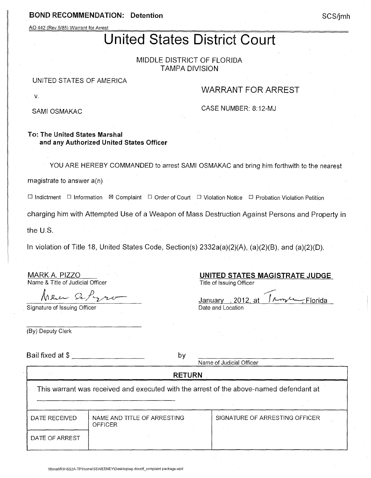# BOND RECOMMENDATION: Detention

AO 442 (Rev.5/85) Warrant for Arrest

# United States District Court

MIDDLE DISTRICT OF FLORIDA TAMPA DIVISION

#### UNITED STATES OF AMERICA

# WARRANT FOR ARREST

SAMI OSMAKAC

v.

CASE NUMBER: 8: 12-MJ

## To: The United States Marshal and any Authorized United States Officer

YOU ARE HEREBY COMMANDED to arrest SAMI OSMAKAC and bring him forthwith to the nearest

magistrate to answer a(n)

 $\square$  Indictment  $\square$  Information  $\boxtimes$  Complaint  $\square$  Order of Court  $\square$  Violation Notice  $\square$  Probation Violation Petition

charging him with Attempted Use of a Weapon of Mass Destruction Against Persons and Property in

the U.S.

In violation of Title 18, United States Code, Section(s) 2332a(a)(2)(A), (a)(2)(B), and (a)(2)(0).

MARK A. PIZZO Name & Title of Judicial Officer

Rue Setzso

Signature of Issuing Officer

| UNIIED STATES MAGISTRATE JUDGE                |
|-----------------------------------------------|
| Title of Issuing Officer                      |
|                                               |
| $A - w \sim Florida$<br>. 2012. at<br>January |
|                                               |
| Date and Location                             |

UNITED STATES MAGISTRATE JUDGE

(By) Deputy Clerk

Bail fixed at \$ by

Name of Judicial Officer

RETURN

This warrant was received and executed with the arrest of the above-named defendant at

DATE OF ARREST

**OFFICER** 

DATE RECEIVED | NAME AND TITLE OF ARRESTING | SIGNATURE OF ARRESTING OFFICER

SCS/jmh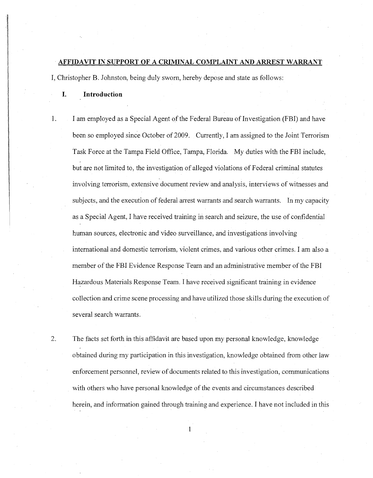### **AFFIDAVIT IN SUPPORT OF A CRIMINAL COMPLAINT AND ARREST WARRANT**

I, Christopher B. Johnston, being duly sworn, hereby depose and state as follows:

**I. Introduction** 

alar masuka terbandak<br>Inggris dan pada tahun 1980 dan kalendar dan pada tahun 1980 dan kalendar dan masuka dan tahun 1980 dan dan ta

i<br>Japanese

1. I am employed as a Special Agent of the Federal Bureau of Investigation (FBI) and have been so employed since October of 2009. Currently, I am assigned to the Joint Terrorism Task Force at the Tampa Field Office, Tampa, Florida. My duties with the FBI include, but are not limited to, the investigation of alleged violations of Federal criminal statutes involving terrorism, extensive document review and analysis, interviews of witnesses and subjects, and the execution of federal arrest warrants and search warrants. In my capacity as a Special Agent, I have received training in search and seizure, the use of confidential human sources, electronic and video surveillance, and investigations involving international and domestic terrorism, violent crimes, and various other crimes. I am also a member of the FBI Evidence Response Team and an administrative member of the FBI Hazardous Materials Response Team. I have received significant training in evidence collection and crime scene processing and have utilized those skills during the execution of several search warrants.

2. The facts set forth in this affidavit are based upon my personal knowledge, knowledge obtained during my participation in this investigation, knowledge obtained from other law enforcement personnel, review of documents related to this investigation, communications with others who have personal knowledge of the events and circumstances described herein, and information gained through training and experience. I have not included in this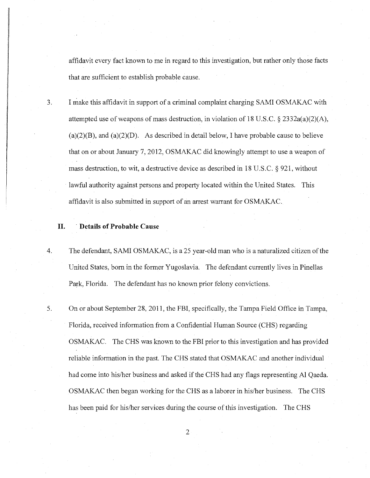affidavit every fact known to me in regard to this investigation, but rather only those facts that are sufficient to establish probable cause.

3. I make this affidavit in support of a criminal complaint charging SAMI OSMAKAC with attempted use of weapons of mass destruction, in violation of 18 U.S.C. § 2332a(a)(2)(A),  $(a)(2)(B)$ , and  $(a)(2)(D)$ . As described in detail below, I have probable cause to believe that on or about January 7, 2012, OSMAKAC did knowingly attempt to use a weapon of mass destruction, to wit, a destructive device as described in 18 U.S.C. § 921, without lawful authority against persons and property located within the United States. This affidavit is also submitted in support of an arrest warrant for OSMAKAC.

#### **II. . Details of Probable Cause**

- 4. The defendant, SAMI OSMAKAC, is a 25 year-old man who is a naturalized citizen of the United States, born in the former Yugoslavia. The defendant currently lives in Pinellas Park, Florida. The defendant has no known prior felony convictions.
- 5. On or about September 28,2011, the FBI, specifically, the Tampa Field Office in Tampa, Florida, received information from a Confidential Human Source (CHS) regarding OSMAKAC. The CHS was known to the FBI prior to this investigation and has provided reliable information in the past. The CHS stated that OSMAKAC and another individual had come into his/her business and asked if the CHS had any flags representing Al Qaeda. OSMAKAC then began working for the CHS as a laborer in his/her business. The CHS has been paid for his/her services during the course of this investigation. The CHS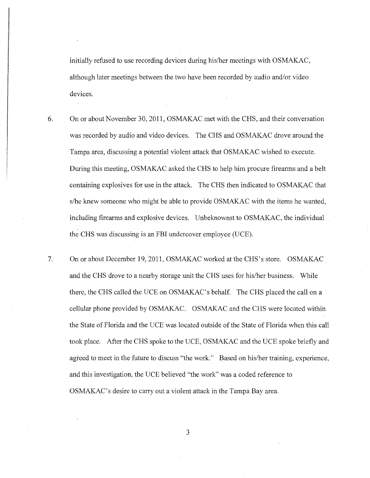initially refused to use recording devices during his/her meetings with OSMAKAC, although later meetings between the two have been recorded by audio and/or video devices.

- 6. On or about November 30,2011, OSMAKAC met with the CHS, and their conversation was recorded by audio and video devices. The CHS and OSMAKAC drove around the Tampa area, discussing a potential violent attack that OSMAKAC wished to execute. During this meeting, OSMAKAC asked the CHS to help him procure firearms and a belt containing explosives for use in the attack. The CHS then indicated to OSMAKAC that s/he knew someone who might be able to provide OSMAKAC with the items he wanted, including firearms and explosive devices. Unbeknownst to OSMAKAC, the individual the CHS was discussing is an FBI undercover employee (UCE).
- 7. On or about December 19,2011, OSMAKAC worked at the CHS's store. OSMAKAC and the CHS drove to a nearby storage unit the CHS uses for his/her business. While there, the CHS called the UCE on OSMAKAC's behalf. The CHS placed the call on a cellular phone provided by OSMAKAC. OSMAKAC and the CHS were located within the State of Florida and the UCE was located outside of the State of Florida when this call took place. After the CHS spoke to the UCE, OSMAKAC and the UCE spoke briefly and agreed to meet in the future to discuss "the work." Based on his/her training, experience, and this investigation, the UCE believed "the work" was a coded reference to OSMAKAC's desire to carry out a violent attack in the Tampa Bay area.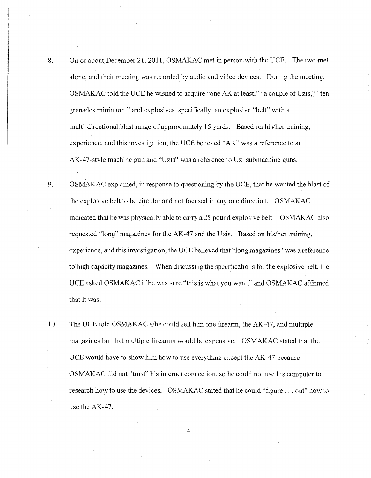- 8. On or about December 21, 2011, OSMAKAC met in person with the UCE. The two met alone, and their meeting was recorded by audio and video devices. During the meeting, OSMAKAC told the UCE he wished to acquire "one AK at least," "a couple of Uzis," "ten grenades minimum," and explosives, specifically, an explosive "belt" with a multi-directional blast range of approximately 15 yards. Based on his/her training, experience, and this investigation, the UCE believed "AK" was a reference to an AK-47-style machine gun and "Uzis" was a reference to Uzi submachine guns.
- 9. OSMAKAC explained, in response to questioning by the UCE, that he wanted the blast of the explosive belt to be circular and not focused in anyone direction. OSMAKAC indicated that he was physically able to carry a 25 pound explosive belt. OSMAKAC also requested "long" magazines for the AK-47 and the Uzis. Based on his/her training, experience, and this investigation, the UCE believed that "long magazines" was a reference to high capacity magazines. When discussing the specifications for the explosive belt, the UCE asked OSMAKAC ifhe was sure "this is what you want," and OSMAKAC affirmed that it was.
- 10. The UCE told OSMAKAC s/he could sell him one fire arm, the AK-47, and multiple magazines but that multiple firearms would be expensive. OSMAKAC stated that the UCE would have to show him how to use everything except the AK-47 because OSMAKAC did not "trust" his internet connection, so he could not use his computer to research how to use the devices. OSMAKAC stated that he could "figure ... out" how to use the AK-47.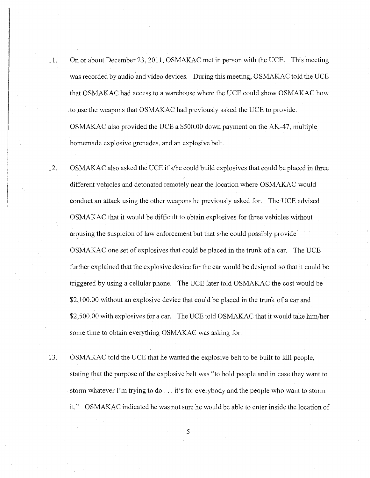- 11. On or about December 23, 2011, OSMAKAC met in person with the UCE. This meeting was recorded by audio and video devices. During this meeting, OSMAKAC told the VCE that OSMAKAC had access to a warehouse where the VCE could show OSMAKAC how to use the weapons that OSMAKAC had previously asked the UCE to provide. OSMAKAC also provided the VCE a \$500.00 down payment on the AK-47, multiple homemade explosive grenades, and an explosive belt.
- 12. OSMAKAC also asked the VCE ifs/he could build explosives that could be placed in three different vehicles and detonated remotely near the location where OSMAKAC would conduct an attack using the other weapons he previously asked for. The VCE advised OSMAKAC that it would be difficult to obtain explosives for three vehicles without arousing the suspicion of law enforcement but that s/he could possibly provide OSMAKAC one set of explosives that could be placed in the trunk of a car. The VCE further explained that the explosive device for the car would be designed so that it could be triggered by using a cellular phone. The VCE later told OSMAKAC the cost would be \$2,100.00 without an explosive device that could be placed in the trunk of a car and \$2,500.00 with explosives for a car. The VCE told OSMAKAC that it would take him/her some time to obtain everything OSMAKAC was asking for.
- 13. OSMAKAC told the VCE that he wanted the explosive belt to be built to kill people, stating that the purpose of the explosive belt was "to hold people and in case they want to storm whatever I'm trying to do ... it's for everybody and the people who want to storm it." OSMAKAC indicated he was not sure he would be able to enter inside the location of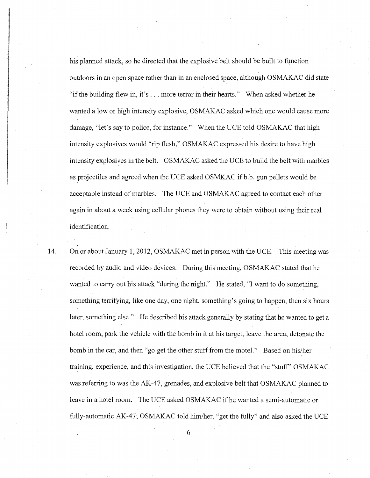his planned attack, so he directed that the explosive belt should be built to function outdoors in an open space rather than in an enclosed space, although OSMAKAC did state "if the building flew in, it's ... more terror in their hearts." When asked whether he wanted a low or high intensity explosive, OSMAKAC asked which one would cause more damage, "let's say to police, for instance." When the UCE told OSMAKAC that high intensity explosives would "rip flesh," OSMAKAC expressed his desire to have high intensity explosives in the belt. OSMAKAC asked the UCE to build the belt with marbles as projectiles and agreed when the UCE asked OSMKAC if b.b. gun pellets would be acceptable instead of marbles. The UCE and OSMAKAC agreed to contact each other again in about a week using cellular phones they were to obtain without using their real identification.

14. On or about January 1,2012, OSMAKAC met in person with the UCE. This meeting was recorded by audio and video devices. During this meeting, OSMAKAC stated that he wanted to carry out his attack "during the night." He stated, "I want to do something, something terrifying, like one day, one night, something's going to happen, then six hours later, something else." He described his attack generally by stating that he wanted to get a hotel room, park the vehicle with the bomb in it at his target, leave the area, detonate the bomb in the car, and then "go get the other stuff from the motel." Based on his/her training, experience, and this investigation, the UCE believed that the "stuff' OSMAKAC was referring to was the AK-47, grenades, and explosive belt that OSMAKAC planned to leave in a hotel room. The UCE asked OSMAKAC if he wanted a semi-automatic or fully-automatic AK-47; OSMAKAC told him/her, "get the fully" and also asked the UCE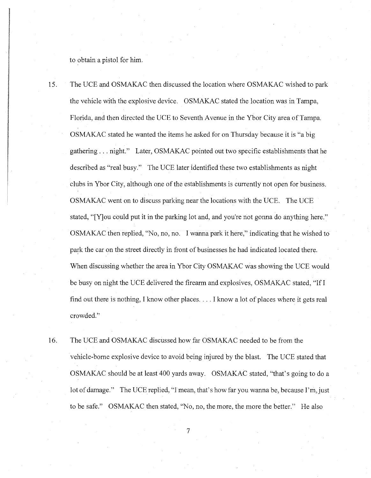to obtain a pistol for him.

15. The UCE and OSMAKAC then discussed the location where OSMAKAC wished to park the vehicle with the explosive device. OSMAKAC stated the location was in Tampa, Florida, and then directed the UCE to Seventh Avenue in the Ybor City area of Tampa. OSMAKAC stated he wanted the items he asked for on Thursday because it is "a big gathering ... night." Later, OSMAKAC pointed out two specific establishments that he described as "real busy." The UCE later identified these two establishments as night clubs in Ybor City, although one of the establishments is currently not open for business. OSMAKAC went on to discuss parking near the locations with the UCE. The UCE stated, "[Y]ou could put it in the parking lot and, and you're not gonna do anything here." OSMAKAC then replied, "No, no, no. I wanna park it here," indicating that he wished to park the car on the street directly in front of businesses he had indicated located there. When discussing whether the area in Ybor City OSMAKAC was showing the UCE would be busy on night the UCE delivered the firearm and explosives, OSMAKAC stated, "If I find out there is nothing, I know other places .... I know a lot of places where it gets real crowded."

16. The UCE and OSMAKAC discussed how far OSMAKAC needed to be from the vehicle-borne explosive device to avoid being injured by the blast. The UCE stated that OSMAKAC should be at least 400 yards away. OSMAKAC stated, "that's going to do a lot of damage." The UCE replied, "I mean, that's how far you wanna be, because I'm, just to be safe." OSMAKAC then stated, "No, no, the more, the more the better." He also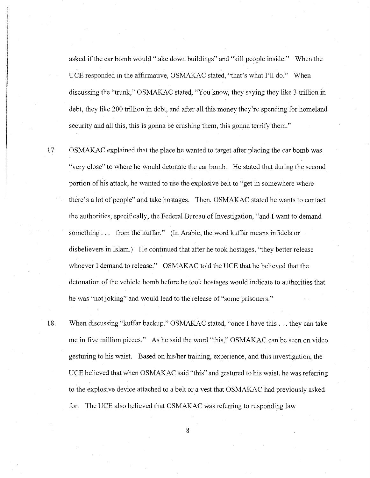asked if the car bomb would "take down buildings" and "kill people inside." When the UCE responded in the affirmative, OSMAKAC stated, "that's what I'll do." When discussing the "trunk," OSMAKAC stated, "You know, they saying they like 3 trillion in debt, they like 200 trillion in debt, and after all this money they're spending for homeland security and all this, this is gonna be crushing them, this gonna terrify them."

17. OSMAKAC explained that the place he wanted to target after placing the car bomb was "very close" to where he would detonate the car bomb. He stated that during the second portion of his attack, he wanted to use the explosive belt to "get in somewhere where there's a lot of people" and take hostages. Then, OSMAKAC stated he wants to contact the authorities, specifically, the Federal Bureau of Investigation, "and I want to demand something. .. from the kuffar." (In Arabic, the word kuffar means infidels or disbelievers in Islam.) He continued that after he took hostages, "they better release whoever I demand to release." OSMAKAC told the UCE that he believed that the detonation of the vehicle bomb before he took hostages would indicate to authorities that he was "not joking" and would lead to the release of "some prisoners."

18. When discussing "kuffar backup," OSMAKAC stated, "once I have this ... they can take me in five million pieces." As he said the word "this," OSMAKAC can be seen on video gesturing to his waist. Based on hislher training, experience, and this investigation, the UCE believed that when OSMAKAC said "this" and gestured to his waist, he was referring to the explosive device attached to a belt or a vest that OSMAKAC had previously asked for. The UCE also believed that OSMAKAC was referring to responding law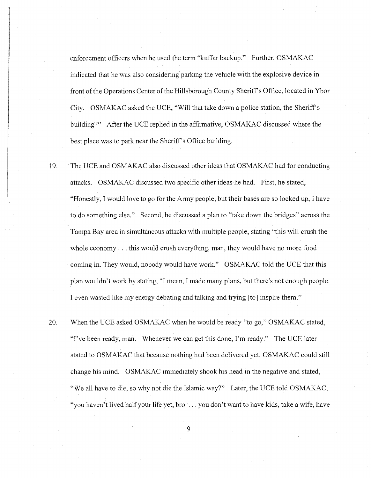enforcement officers when he used the term "kuffar backup." Further, OSMAKAC indicated that he was also considering parking the vehicle with the explosive device in front of the Operations Center of the Hillsborough County Sheriff's Office, located in Ybor City. OSMAKAC asked the UCE, "Will that take down a police station, the Sheriff's building?" After the UCE replied in the affirmative, OSMAKAC discussed where the best place was to park near the Sheriff s Office building.

- 19. The UCE and OSMAKAC also discussed other ideas that OSMAKAC had for conducting attacks. OSMAKAC discussed two specific other ideas he had. First, he stated, "Honestly, I would love to go for the Army people, but their bases are so locked up, I have to do something else." Second, he discussed a plan to "take down the bridges" across the Tampa Bay area in simultaneous attacks with multiple people, stating "this will crush the whole economy ... this would crush everything, man, they would have no more food coming in. They would, nobody would have work." OSMAKAC told the UCE that this plan wouldn't work by stating, "I mean, I made many plans, but there's not enough people. I even wasted like my energy debating and talking and trying [to] inspire them."
- 20. When the UCE asked OSMAKAC when he would be ready "to go," OSMAKAC stated, "I've been ready, man. Whenever we can get this done, I'm ready." The UCE later stated to OSMAKAC that because nothing had been delivered yet, OSMAKAC could still change his mind. OSMAKAC immediately shook his head in the negative and stated, "We all have to die, so why not die the Islamic way?" Later, the UCE told OSMAKAC, "you haven't lived half your life yet, bro.... you don't want to have kids, take a wife, have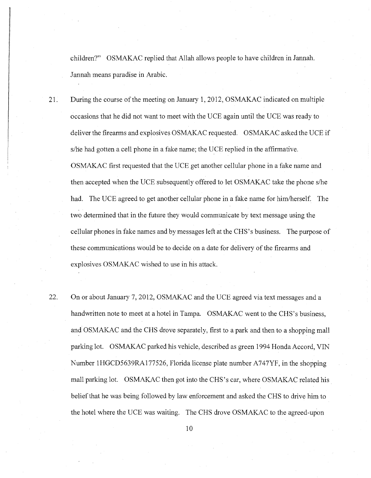children?" OSMAKAC replied that Allah allows people to have children in Jannah. Jannah means paradise in Arabic.

21. During the course of the meeting on January 1, 2012, OSMAKAC indicated on multiple occasions that he did not want to meet with the UCE again until the UCE was ready to deliver the firearms and explosives OSMAKAC requested. OSMAKAC asked the UCE if s/he had gotten a cell phone in a fake name; the UCE replied in the affirmative. OSMAKAC first requested that the UCE get another cellular phone in a fake name and then accepted when the UCE subsequently offered to let OSMAKAC take the phone s/he had. The UCE agreed to get another cellular phone in a fake name for him/herself. The two determined that in the future they would communicate by text message using the cellular phones in fake names and by messages left at the CHS' s business. The purpose of these communications would be to decide on a date for delivery of the firearms and explosives OSMAKAC wished to use in his attack.

22. On or about January 7, 2012, OSMAKAC and the UCE agreed via text messages and a handwritten note to meet at a hotel in Tampa. OSMAKAC went to the CHS's business, and OSMAKAC and the CHS drove separately, first to a park and then to a shopping mall parking lot. OSMAKAC parked his vehicle, described as green 1994 Honda Accord, VIN Number 1HGCD5639RAl77526, Florida license plate number A747YF, in the shopping mall parking lot. OSMAKAC then got into the CHS's car, where OSMAKAC related his belief that he was being followed by law enforcement and asked the CHS to drive him to the hotel where the UCE was waiting. The CHS drove OSMAKAC to the agreed-upon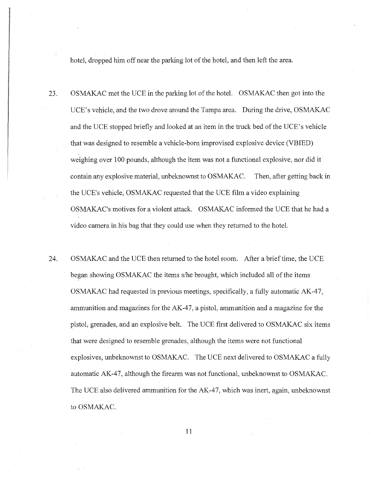hotel, dropped him off near the parking lot of the hotel, and then left the area.

23. OSMAKAC met the UCE in the parking lot of the hotel. OSMAKAC then got into the UCE's vehicle, and the two drove around the Tampa area. During the drive, OSMAKAC and the UCE stopped briefly and looked at an item in the truck bed of the UCE's vehicle that was designed to resemble a vehicle-born improvised explosive device (VBIED) weighing over 100 pounds, although the item was not a functional explosive, nor did it contain any explosive material, unbeknownst to OSMAKAC. Then, after getting back in the UCE's vehicle, OSMAKAC requested that the UCE film a video explaining OSMAKAC's motives for a violent attack. OSMAKAC informed the UCE that he had a video camera in his bag that they could use when they returned to the hotel.

24. OSMAKAC and the UCE then returned to the hotel room. After a brief time, the UCE began showing OSMAKAC the items s/he brought, which included all of the items OSMAKAC had requested in previous meetings, specifically, a fully automatic AK-47, ammunition and magazines for the AK-47, a pistol, ammunition and a magazine for the pistol, grenades, and an explosive belt. The UCE first delivered to OSMAKAC six items that were designed to resemble grenades, although the items were not functional explosives, unbeknownst to OSMAKAC. The UCE next delivered to OSMAKAC a fully automatic AK-47, although the firearm was not functional, unbeknownst to OSMAKAC. The UCE also delivered ammunition for the AK-47, which was inert, again, unbeknownst to OSMAKAC.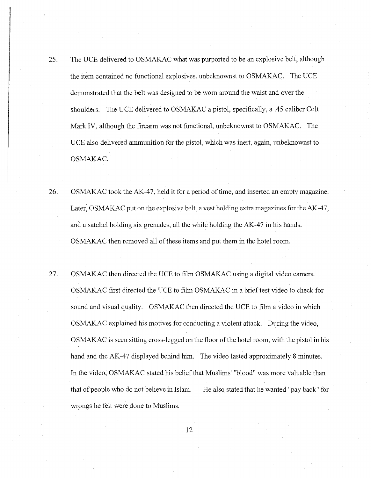- 25. The UCE delivered to OSMAKAC what was purported to be an explosive belt, although the item contained no functional explosives, unbeknownst to OSMAKAC. The UCE demonstrated that the belt was designed to be worn around the waist and over the shoulders. The UCE delivered to OSMAKAC a pistol, specifically, a .45 caliber Colt Mark IV, although the firearm was not functional, unbeknownst to OSMAKAC. The UCE also delivered ammunition for the pistol, which was inert, again, unbeknownst to OSMAKAC.
- 26. OSMAKAC took the AK-47, held it for a period of time, and inserted an empty magazine. Later, OSMAKAC put on the explosive belt, a vest holding extra magazines for the AK-47, and a satchel holding six grenades, all the while holding the AK-47 in his hands. OSMAKAC then removed all of these items and put them in the hotel room.
- 27. OSMAKAC then directed the UCE to film OSMAKAC using a digital video camera. OSMAKAC first directed the UCE to film OSMAKAC in a brief test video to check for sound and visual quality. OSMAKAC then directed the UCE to film a video in which OSMAKAC explained his motives for conducting a violent attack. During the video, OSMAKAC is seen sitting cross-legged on the floor of the hotel room, with the pistol in his hand and the AK-47 displayed behind him. The video lasted approximately 8 minutes. In the video, OSMAKAC stated his belief that Muslims' "blood" was more valuable than that of people who do not believe in Islam. wrongs he felt were done to Muslims. He also stated that he wanted "pay back" for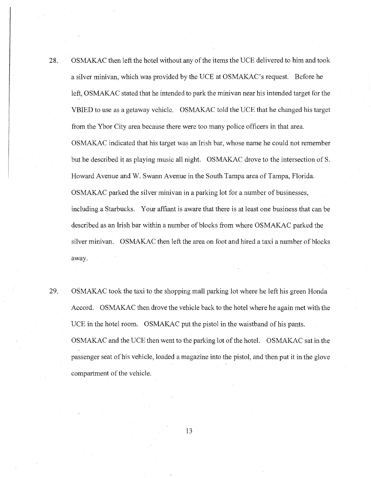28. OSMAKAC then left the hotel without any of the items the UCE delivered to him and took a silver minivan, which was provided by the UCE at OSMAKAC's request. Before he left, OSMAKAC stated that he intended to park the minivan near his intended target for the VBIED to use as a getaway vehicle. OSMAKAC told the UCE that he changed his target from the Ybor City area because there were too many police officers in that area. OSMAKAC indicated that his target was an Irish bar, whose name he could not remember but he described it as playing music all night. OSMAKAC drove to the intersection of S. Howard Avenue and W. Swam1 Avenue in the South Tampa area of Tampa, Florida. OSMAKAC parked the silver minivan in a parking lot for a number of businesses, including a Starbucks. Your affiant is aware that there is at least one business that can be described as an Irish bar within a number of blocks from where OSMAKAC parked the silver minivan. OSMAKAC then left the area on foot and hired a taxi a number of blocks away.

29. OSMAKAC took the taxi to the shopping mall parking lot where he left his green Honda Accord. OSMAKAC then drove the vehicle back to the hotel where he again met with the UCE in the hotel room. OSMAKAC put the pistol in the waistband of his pants. OSMAKAC and the UCE then went to the parking lot of the hotel. OSMAKAC sat in the passenger seat of his vehicle, loaded a magazine into the pistol, and then put it in the glove compartment of the vehicle.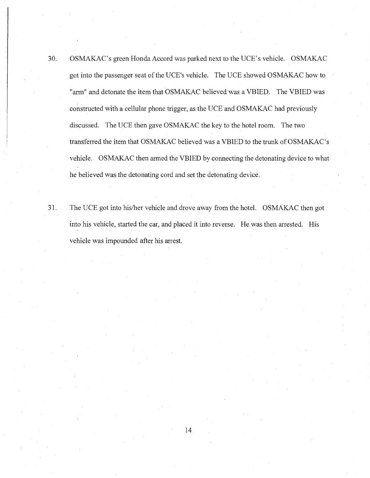- 30. OSMAKAC's green Honda Accord was parked next to the UCE's vehicle. OSMAKAC got into the passenger seat of the UCE's vehicle. The UCE showed OSMAKAC how to "arm" and detonate the item that OSMAKAC believed was a VBIED. The VBIED was constructed with a cellular phone trigger, as the UCE and OSMAKAC had previously discussed. The UCE then gave OSMAKAC the key to the hotel room. The two transferred the item that OSMAKAC believed was a VBIED to the trunk of OSMAKAC's vehicle. OSMAKAC then armed the VBIED by connecting the detonating device to what he believed was the detonating cord and set the detonating device.
- 31. The UCE got into hislher vehicle and drove away from the hotel. OSMAKAC then got into his vehicle, started the car, and placed it into reverse. He was then arrested. His vehicle was impounded after his arrest.